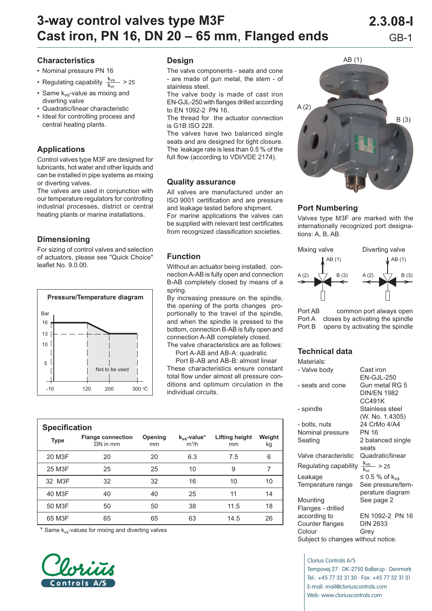# **3-way control valves type M3F 2.3.08-I Cast iron, PN 16, DN 20 – 65 mm, Flanged ends** GB-1

## **Characteristics**

- Nominal pressure PN 16
- Regulating capability  $\frac{k_{vs}}{k_{vr}}$  > 25
- Same  $k_{vs}$ -value as mixing and diverting valve
- Quadratic/linear characteristic
- Ideal for controlling process and central heating plants.

# **Applications**

Control valves type M3F are designed for lubricants, hot water and other liquids and can be installed in pipe systems as mixing or diverting valves.

The valves are used in conjunction with our temperature regulators for controlling industrial processes, district or central heating plants or marine installations.

# **Dimensioning**

For sizing of control valves and selection of actuators, please see "Quick Choice" leaflet No. 9.0.00.



#### **Design**

The valve components - seats and cone - are made of gun metal, the stem - of stainless steel.

The valve body is made of cast iron EN-GJL-250 with flanges drilled according to EN 1092-2 PN 16.

The thread for the actuator connection is G1B ISO 228.

The valves have two balanced single seats and are designed for tight closure. The leakage rate is less than 0.5 % of the full flow (according to VDI/VDE 2174).

#### **Quality assurance**

All valves are manufactured under an ISO 9001 certification and are pressure and leakage tested before shipment. For marine applications the valves can be supplied with relevant test certificates from recognized classification societies.

### **Function**

Without an actuator being installed, connection A-AB is fully open and connection B-AB completely closed by means of a spring.

By increasing pressure on the spindle, the opening of the ports changes proportionally to the travel of the spindle, and when the spindle is pressed to the bottom, connection B-AB is fully open and connection A-AB completely closed.

The valve characteristics are as follows: Port A-AB and AB-A: quadratic

 Port B-AB and AB-B: almost linear These characteristics ensure constant total flow under almost all pressure conditions and optimum circulation in the individual circuits.

| <b>Specification</b> |                                      |               |                             |                      |              |  |  |  |  |  |  |
|----------------------|--------------------------------------|---------------|-----------------------------|----------------------|--------------|--|--|--|--|--|--|
| <b>Type</b>          | <b>Flange connection</b><br>DN in mm | Opening<br>mm | $k_{vs}$ -value*<br>$m^3/h$ | Lifting height<br>mm | Weight<br>kg |  |  |  |  |  |  |
| 20 M3F               | 20                                   | 20            | 6.3                         | 7.5                  | 6            |  |  |  |  |  |  |
| 25 M3F               | 25                                   | 25            | 10                          | 9                    | 7            |  |  |  |  |  |  |
| 32 M3F               | 32                                   | 32            | 16                          | 10                   | 10           |  |  |  |  |  |  |
| 40 M3F               | 40                                   | 40            | 25                          | 11                   | 14           |  |  |  |  |  |  |
| 50 M3F               | 50                                   | 50            | 38                          | 11.5                 | 18           |  |  |  |  |  |  |
| 65 M3F               | 65                                   | 65            | 63                          | 14.5                 | 26           |  |  |  |  |  |  |

\* Same k<sub>vs</sub>-values for mixing and diverting valves





### **Port Numbering**

Valves type M3F are marked with the internationally recognized port designations: A, B, AB.



Port AB common port always open Port A closes by activating the spindle Port B opens by activating the spindle

## **Technical data**

| Materials:                         |                              |  |  |  |
|------------------------------------|------------------------------|--|--|--|
| - Valve body                       | Cast iron                    |  |  |  |
|                                    | EN-GJL-250                   |  |  |  |
| - seats and cone                   | Gun metal RG 5               |  |  |  |
|                                    | <b>DIN/FN 1982</b><br>CC491K |  |  |  |
| - spindle                          | Stainless steel              |  |  |  |
|                                    | (W. No. 1.4305)              |  |  |  |
| - bolts, nuts                      | 24 CrMo 4/A4                 |  |  |  |
| Nominal pressure                   | PN 16                        |  |  |  |
| Seating                            | 2 balanced single            |  |  |  |
|                                    | seats                        |  |  |  |
| Valve characteristic               | Quadratic/linear             |  |  |  |
| Regulating capability              | $\frac{k_{vs}}{s}$ > 25      |  |  |  |
| Leakage                            | ≤ 0.5 % of $k_{vs}$          |  |  |  |
| Temperature range                  | See pressure/tem-            |  |  |  |
|                                    | perature diagram             |  |  |  |
| Mounting                           | See page 2                   |  |  |  |
| Flanges - drilled                  | EN 1092-2 PN 16              |  |  |  |
| according to<br>Counter flanges    | <b>DIN 2633</b>              |  |  |  |
| Colour                             | Grey                         |  |  |  |
| Subject to changes without notice. |                              |  |  |  |

Clorius Controls A/S Tempovej 27 · DK-2750 Ballerup · Denmark Tel.: +45 77 32 31 30 · Fax: +45 77 32 31 31 E-mail: mail@cloriuscontrols.com Web: www.cloriuscontrols.com